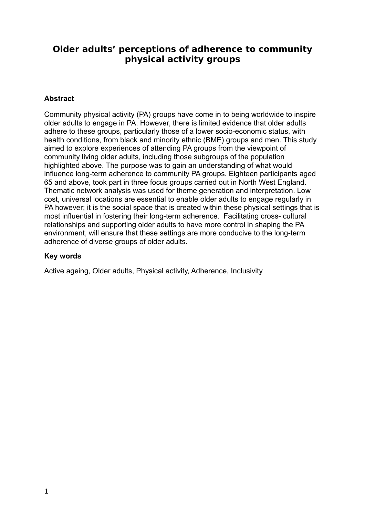# **Older adults' perceptions of adherence to community physical activity groups**

# **Abstract**

Community physical activity (PA) groups have come in to being worldwide to inspire older adults to engage in PA. However, there is limited evidence that older adults adhere to these groups, particularly those of a lower socio-economic status, with health conditions, from black and minority ethnic (BME) groups and men. This study aimed to explore experiences of attending PA groups from the viewpoint of community living older adults, including those subgroups of the population highlighted above. The purpose was to gain an understanding of what would influence long-term adherence to community PA groups. Eighteen participants aged 65 and above, took part in three focus groups carried out in North West England. Thematic network analysis was used for theme generation and interpretation. Low cost, universal locations are essential to enable older adults to engage regularly in PA however; it is the social space that is created within these physical settings that is most influential in fostering their long-term adherence. Facilitating cross- cultural relationships and supporting older adults to have more control in shaping the PA environment, will ensure that these settings are more conducive to the long-term adherence of diverse groups of older adults.

# **Key words**

Active ageing, Older adults, Physical activity, Adherence, Inclusivity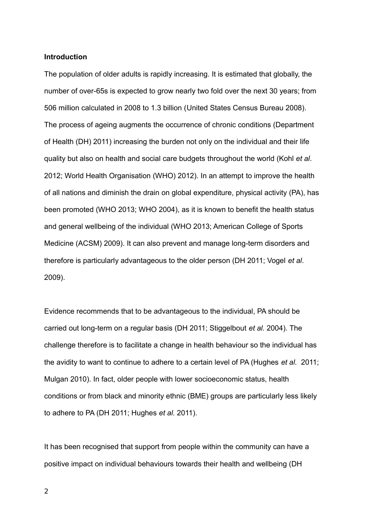### **Introduction**

The population of older adults is rapidly increasing. It is estimated that globally, the number of over-65s is expected to grow nearly two fold over the next 30 years; from 506 million calculated in 2008 to 1.3 billion (United States Census Bureau 2008)*.* The process of ageing augments the occurrence of chronic conditions (Department of Health (DH) 2011) increasing the burden not only on the individual and their life quality but also on health and social care budgets throughout the world (Kohl *et al*. 2012; World Health Organisation (WHO) 2012). In an attempt to improve the health of all nations and diminish the drain on global expenditure, physical activity (PA), has been promoted (WHO 2013; WHO 2004), as it is known to benefit the health status and general wellbeing of the individual (WHO 2013; American College of Sports Medicine (ACSM) 2009). It can also prevent and manage long-term disorders and therefore is particularly advantageous to the older person (DH 2011; Vogel *et al*. 2009).

Evidence recommends that to be advantageous to the individual, PA should be carried out long-term on a regular basis (DH 2011; Stiggelbout *et al.* 2004). The challenge therefore is to facilitate a change in health behaviour so the individual has the avidity to want to continue to adhere to a certain level of PA (Hughes *et al.* 2011; Mulgan 2010). In fact, older people with lower socioeconomic status, health conditions or from black and minority ethnic (BME) groups are particularly less likely to adhere to PA (DH 2011; Hughes *et al.* 2011).

It has been recognised that support from people within the community can have a positive impact on individual behaviours towards their health and wellbeing (DH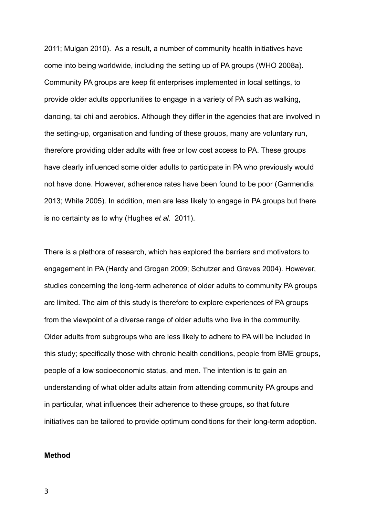2011; Mulgan 2010). As a result, a number of community health initiatives have come into being worldwide, including the setting up of PA groups (WHO 2008a). Community PA groups are keep fit enterprises implemented in local settings, to provide older adults opportunities to engage in a variety of PA such as walking, dancing, tai chi and aerobics. Although they differ in the agencies that are involved in the setting-up, organisation and funding of these groups, many are voluntary run, therefore providing older adults with free or low cost access to PA. These groups have clearly influenced some older adults to participate in PA who previously would not have done. However, adherence rates have been found to be poor (Garmendia 2013; White 2005). In addition, men are less likely to engage in PA groups but there is no certainty as to why (Hughes *et al.* 2011).

There is a plethora of research, which has explored the barriers and motivators to engagement in PA (Hardy and Grogan 2009; Schutzer and Graves 2004). However, studies concerning the long-term adherence of older adults to community PA groups are limited. The aim of this study is therefore to explore experiences of PA groups from the viewpoint of a diverse range of older adults who live in the community. Older adults from subgroups who are less likely to adhere to PA will be included in this study; specifically those with chronic health conditions, people from BME groups, people of a low socioeconomic status, and men. The intention is to gain an understanding of what older adults attain from attending community PA groups and in particular, what influences their adherence to these groups, so that future initiatives can be tailored to provide optimum conditions for their long-term adoption.

#### **Method**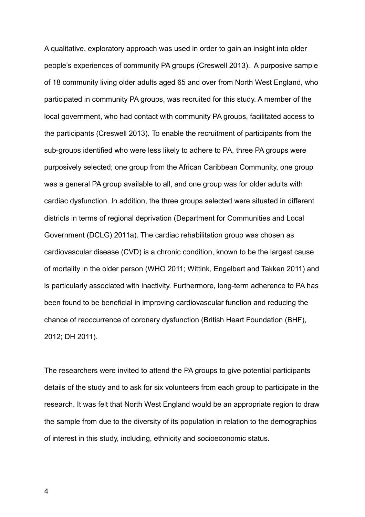A qualitative, exploratory approach was used in order to gain an insight into older people's experiences of community PA groups (Creswell 2013). A purposive sample of 18 community living older adults aged 65 and over from North West England, who participated in community PA groups, was recruited for this study. A member of the local government, who had contact with community PA groups, facilitated access to the participants (Creswell 2013). To enable the recruitment of participants from the sub-groups identified who were less likely to adhere to PA, three PA groups were purposively selected; one group from the African Caribbean Community, one group was a general PA group available to all, and one group was for older adults with cardiac dysfunction. In addition, the three groups selected were situated in different districts in terms of regional deprivation (Department for Communities and Local Government (DCLG) 2011a). The cardiac rehabilitation group was chosen as cardiovascular disease (CVD) is a chronic condition, known to be the largest cause of mortality in the older person (WHO 2011; Wittink, Engelbert and Takken 2011) and is particularly associated with inactivity. Furthermore, long-term adherence to PA has been found to be beneficial in improving cardiovascular function and reducing the chance of reoccurrence of coronary dysfunction (British Heart Foundation (BHF), 2012; DH 2011).

The researchers were invited to attend the PA groups to give potential participants details of the study and to ask for six volunteers from each group to participate in the research. It was felt that North West England would be an appropriate region to draw the sample from due to the diversity of its population in relation to the demographics of interest in this study, including, ethnicity and socioeconomic status.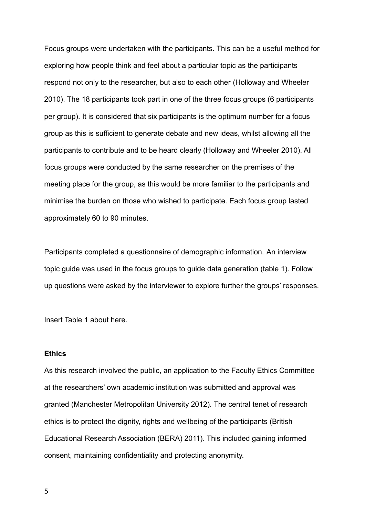Focus groups were undertaken with the participants. This can be a useful method for exploring how people think and feel about a particular topic as the participants respond not only to the researcher, but also to each other (Holloway and Wheeler 2010). The 18 participants took part in one of the three focus groups (6 participants per group). It is considered that six participants is the optimum number for a focus group as this is sufficient to generate debate and new ideas, whilst allowing all the participants to contribute and to be heard clearly (Holloway and Wheeler 2010). All focus groups were conducted by the same researcher on the premises of the meeting place for the group, as this would be more familiar to the participants and minimise the burden on those who wished to participate. Each focus group lasted approximately 60 to 90 minutes.

Participants completed a questionnaire of demographic information. An interview topic guide was used in the focus groups to guide data generation (table 1). Follow up questions were asked by the interviewer to explore further the groups' responses.

Insert Table 1 about here.

# **Ethics**

As this research involved the public, an application to the Faculty Ethics Committee at the researchers' own academic institution was submitted and approval was granted (Manchester Metropolitan University 2012). The central tenet of research ethics is to protect the dignity, rights and wellbeing of the participants (British Educational Research Association (BERA) 2011). This included gaining informed consent, maintaining confidentiality and protecting anonymity.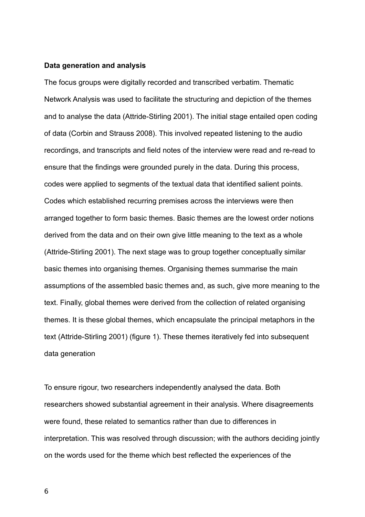#### **Data generation and analysis**

The focus groups were digitally recorded and transcribed verbatim. Thematic Network Analysis was used to facilitate the structuring and depiction of the themes and to analyse the data (Attride-Stirling 2001). The initial stage entailed open coding of data (Corbin and Strauss 2008). This involved repeated listening to the audio recordings, and transcripts and field notes of the interview were read and re-read to ensure that the findings were grounded purely in the data. During this process, codes were applied to segments of the textual data that identified salient points. Codes which established recurring premises across the interviews were then arranged together to form basic themes. Basic themes are the lowest order notions derived from the data and on their own give little meaning to the text as a whole (Attride-Stirling 2001). The next stage was to group together conceptually similar basic themes into organising themes. Organising themes summarise the main assumptions of the assembled basic themes and, as such, give more meaning to the text. Finally, global themes were derived from the collection of related organising themes. It is these global themes, which encapsulate the principal metaphors in the text (Attride-Stirling 2001) (figure 1). These themes iteratively fed into subsequent data generation

To ensure rigour, two researchers independently analysed the data. Both researchers showed substantial agreement in their analysis. Where disagreements were found, these related to semantics rather than due to differences in interpretation. This was resolved through discussion; with the authors deciding jointly on the words used for the theme which best reflected the experiences of the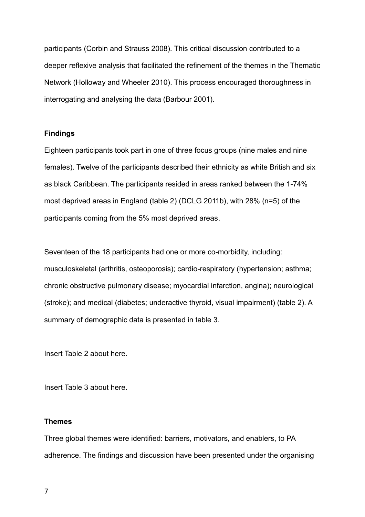participants (Corbin and Strauss 2008). This critical discussion contributed to a deeper reflexive analysis that facilitated the refinement of the themes in the Thematic Network (Holloway and Wheeler 2010). This process encouraged thoroughness in interrogating and analysing the data (Barbour 2001).

# **Findings**

Eighteen participants took part in one of three focus groups (nine males and nine females). Twelve of the participants described their ethnicity as white British and six as black Caribbean. The participants resided in areas ranked between the 1-74% most deprived areas in England (table 2) (DCLG 2011b), with 28% (n=5) of the participants coming from the 5% most deprived areas.

Seventeen of the 18 participants had one or more co-morbidity, including: musculoskeletal (arthritis, osteoporosis); cardio-respiratory (hypertension; asthma; chronic obstructive pulmonary disease; myocardial infarction, angina); neurological (stroke); and medical (diabetes; underactive thyroid, visual impairment) (table 2). A summary of demographic data is presented in table 3.

Insert Table 2 about here.

Insert Table 3 about here.

# **Themes**

Three global themes were identified: barriers, motivators, and enablers, to PA adherence. The findings and discussion have been presented under the organising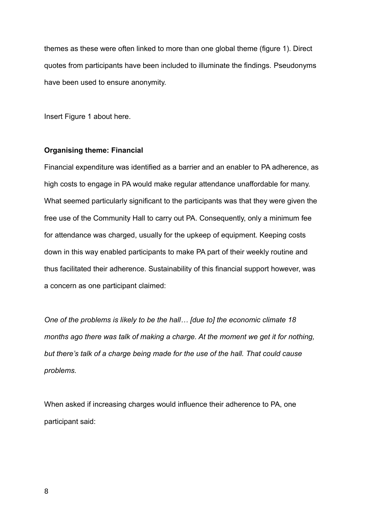themes as these were often linked to more than one global theme (figure 1). Direct quotes from participants have been included to illuminate the findings. Pseudonyms have been used to ensure anonymity.

Insert Figure 1 about here.

#### **Organising theme: Financial**

Financial expenditure was identified as a barrier and an enabler to PA adherence, as high costs to engage in PA would make regular attendance unaffordable for many. What seemed particularly significant to the participants was that they were given the free use of the Community Hall to carry out PA. Consequently, only a minimum fee for attendance was charged, usually for the upkeep of equipment. Keeping costs down in this way enabled participants to make PA part of their weekly routine and thus facilitated their adherence. Sustainability of this financial support however, was a concern as one participant claimed:

*One of the problems is likely to be the hall… [due to] the economic climate 18 months ago there was talk of making a charge. At the moment we get it for nothing, but there's talk of a charge being made for the use of the hall. That could cause problems.*

When asked if increasing charges would influence their adherence to PA, one participant said: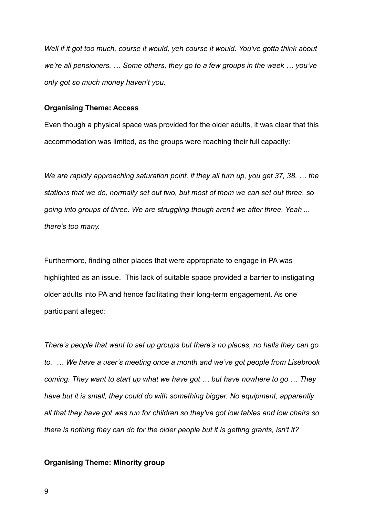*Well if it got too much, course it would, yeh course it would. You've gotta think about we're all pensioners. … Some others, they go to a few groups in the week … you've only got so much money haven't you.* 

### **Organising Theme: Access**

Even though a physical space was provided for the older adults, it was clear that this accommodation was limited, as the groups were reaching their full capacity:

*We are rapidly approaching saturation point, if they all turn up, you get 37, 38. … the stations that we do, normally set out two, but most of them we can set out three, so going into groups of three. We are struggling though aren't we after three. Yeah ... there's too many.*

Furthermore, finding other places that were appropriate to engage in PA was highlighted as an issue. This lack of suitable space provided a barrier to instigating older adults into PA and hence facilitating their long-term engagement. As one participant alleged:

*There's people that want to set up groups but there's no places, no halls they can go to. … We have a user's meeting once a month and we've got people from Lisebrook coming. They want to start up what we have got … but have nowhere to go … They have but it is small, they could do with something bigger. No equipment, apparently all that they have got was run for children so they've got low tables and low chairs so there is nothing they can do for the older people but it is getting grants, isn't it?*

# **Organising Theme: Minority group**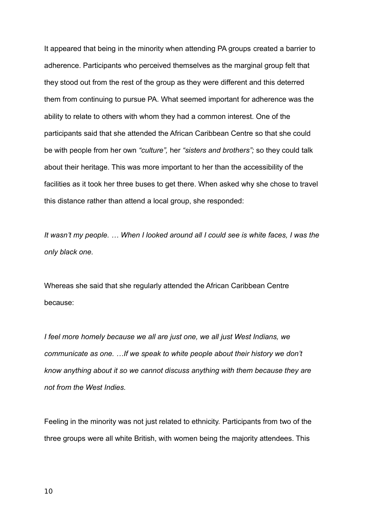It appeared that being in the minority when attending PA groups created a barrier to adherence. Participants who perceived themselves as the marginal group felt that they stood out from the rest of the group as they were different and this deterred them from continuing to pursue PA. What seemed important for adherence was the ability to relate to others with whom they had a common interest. One of the participants said that she attended the African Caribbean Centre so that she could be with people from her own *"culture",* her *"sisters and brothers";* so they could talk about their heritage. This was more important to her than the accessibility of the facilities as it took her three buses to get there. When asked why she chose to travel this distance rather than attend a local group, she responded:

*It wasn't my people. … When I looked around all I could see is white faces, I was the only black one.* 

Whereas she said that she regularly attended the African Caribbean Centre because:

*I feel more homely because we all are just one, we all just West Indians, we communicate as one. …If we speak to white people about their history we don't know anything about it so we cannot discuss anything with them because they are not from the West Indies.*

Feeling in the minority was not just related to ethnicity. Participants from two of the three groups were all white British, with women being the majority attendees. This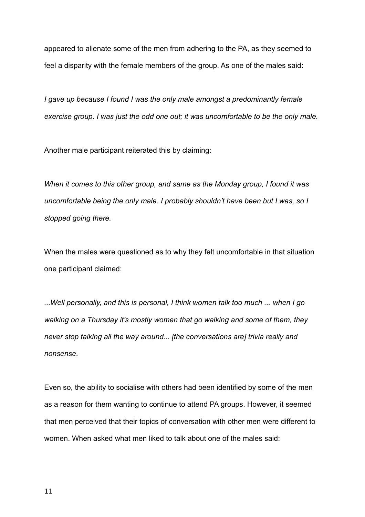appeared to alienate some of the men from adhering to the PA, as they seemed to feel a disparity with the female members of the group. As one of the males said:

*I gave up because I found I was the only male amongst a predominantly female exercise group. I was just the odd one out; it was uncomfortable to be the only male.*

Another male participant reiterated this by claiming:

*When it comes to this other group, and same as the Monday group, I found it was uncomfortable being the only male. I probably shouldn't have been but I was, so I stopped going there.*

When the males were questioned as to why they felt uncomfortable in that situation one participant claimed:

*...Well personally, and this is personal, I think women talk too much ... when I go walking on a Thursday it's mostly women that go walking and some of them, they never stop talking all the way around... [the conversations are] trivia really and nonsense.* 

Even so, the ability to socialise with others had been identified by some of the men as a reason for them wanting to continue to attend PA groups. However, it seemed that men perceived that their topics of conversation with other men were different to women. When asked what men liked to talk about one of the males said: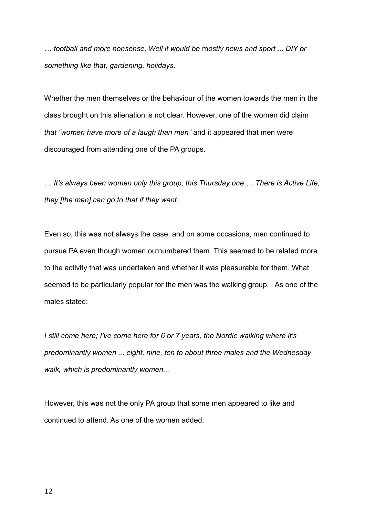*… football and more nonsense. Well it would be* m*ostly news and sport ... DIY or something like that, gardening, holidays.*

Whether the men themselves or the behaviour of the women towards the men in the class brought on this alienation is not clear. However, one of the women did claim *that "women have more of a laugh than men"* and it appeared that men were discouraged from attending one of the PA groups.

*… It's always been women only this group, this Thursday one … There is Active Life, they [the men] can go to that if they want.*

Even so, this was not always the case, and on some occasions, men continued to pursue PA even though women outnumbered them. This seemed to be related more to the activity that was undertaken and whether it was pleasurable for them. What seemed to be particularly popular for the men was the walking group. As one of the males stated:

*I still come here; I've come here for 6 or 7 years, the Nordic walking where it's predominantly women ... eight, nine, ten to about three males and the Wednesday walk, which is predominantly women...* 

However, this was not the only PA group that some men appeared to like and continued to attend. As one of the women added: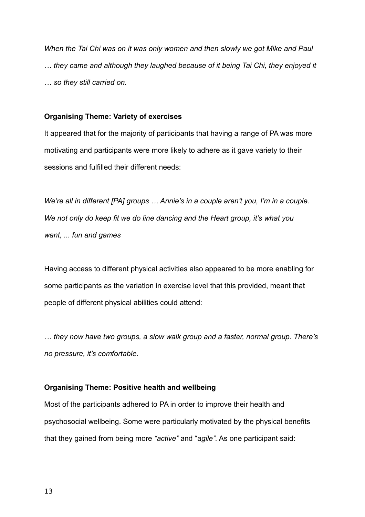*When the Tai Chi was on it was only women and then slowly we got Mike and Paul … they came and although they laughed because of it being Tai Chi, they enjoyed it … so they still carried on.* 

# **Organising Theme: Variety of exercises**

It appeared that for the majority of participants that having a range of PA was more motivating and participants were more likely to adhere as it gave variety to their sessions and fulfilled their different needs:

*We're all in different [PA] groups … Annie's in a couple aren't you, I'm in a couple. We not only do keep fit we do line dancing and the Heart group, it's what you want, ... fun and games*

Having access to different physical activities also appeared to be more enabling for some participants as the variation in exercise level that this provided, meant that people of different physical abilities could attend:

*… they now have two groups, a slow walk group and a faster, normal group. There's no pressure, it's comfortable.*

# **Organising Theme: Positive health and wellbeing**

Most of the participants adhered to PA in order to improve their health and psychosocial wellbeing. Some were particularly motivated by the physical benefits that they gained from being more *"active"* and "*agile".* As one participant said: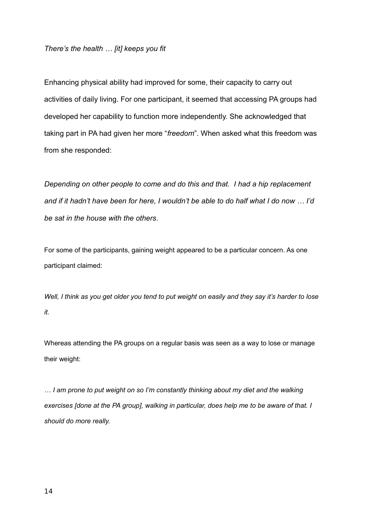# *There's the health … [it] keeps you fit*

Enhancing physical ability had improved for some, their capacity to carry out activities of daily living. For one participant, it seemed that accessing PA groups had developed her capability to function more independently. She acknowledged that taking part in PA had given her more "*freedom*". When asked what this freedom was from she responded:

*Depending on other people to come and do this and that. I had a hip replacement and if it hadn't have been for here, I wouldn't be able to do half what I do now … I'd be sat in the house with the others.*

For some of the participants, gaining weight appeared to be a particular concern. As one participant claimed:

*Well, I think as you get older you tend to put weight on easily and they say it's harder to lose it.*

Whereas attending the PA groups on a regular basis was seen as a way to lose or manage their weight:

*… I am prone to put weight on so I'm constantly thinking about my diet and the walking exercises [done at the PA group], walking in particular, does help me to be aware of that. I should do more really.*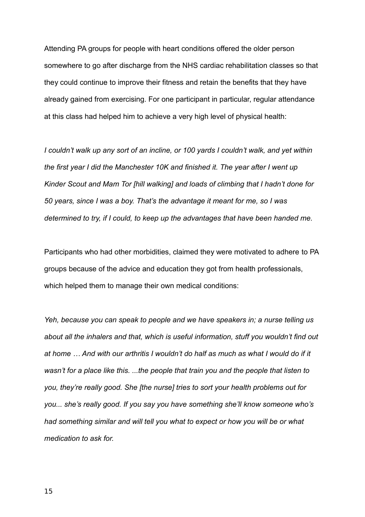Attending PA groups for people with heart conditions offered the older person somewhere to go after discharge from the NHS cardiac rehabilitation classes so that they could continue to improve their fitness and retain the benefits that they have already gained from exercising. For one participant in particular, regular attendance at this class had helped him to achieve a very high level of physical health:

*I couldn't walk up any sort of an incline, or 100 yards I couldn't walk, and yet within the first year I did the Manchester 10K and finished it. The year after I went up Kinder Scout and Mam Tor [hill walking] and loads of climbing that I hadn't done for 50 years, since I was a boy. That's the advantage it meant for me, so I was determined to try, if I could, to keep up the advantages that have been handed me.*

Participants who had other morbidities, claimed they were motivated to adhere to PA groups because of the advice and education they got from health professionals, which helped them to manage their own medical conditions:

*Yeh, because you can speak to people and we have speakers in; a nurse telling us about all the inhalers and that, which is useful information, stuff you wouldn't find out at home … And with our arthritis I wouldn't do half as much as what I would do if it wasn't for a place like this. ...the people that train you and the people that listen to you, they're really good. She [the nurse] tries to sort your health problems out for you... she's really good. If you say you have something she'll know someone who's had something similar and will tell you what to expect or how you will be or what medication to ask for.*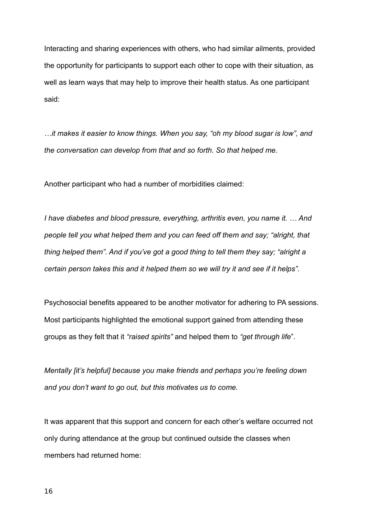Interacting and sharing experiences with others, who had similar ailments, provided the opportunity for participants to support each other to cope with their situation, as well as learn ways that may help to improve their health status. As one participant said:

*…it makes it easier to know things. When you say, "oh my blood sugar is low", and the conversation can develop from that and so forth. So that helped me.*

Another participant who had a number of morbidities claimed:

*I have diabetes and blood pressure, everything, arthritis even, you name it. … And people tell you what helped them and you can feed off them and say; "alright, that thing helped them". And if you've got a good thing to tell them they say; "alright a certain person takes this and it helped them so we will try it and see if it helps".*

Psychosocial benefits appeared to be another motivator for adhering to PA sessions. Most participants highlighted the emotional support gained from attending these groups as they felt that it *"raised spirits"* and helped them to *"get through life*".

*Mentally [it's helpful] because you make friends and perhaps you're feeling down and you don't want to go out, but this motivates us to come.*

It was apparent that this support and concern for each other's welfare occurred not only during attendance at the group but continued outside the classes when members had returned home: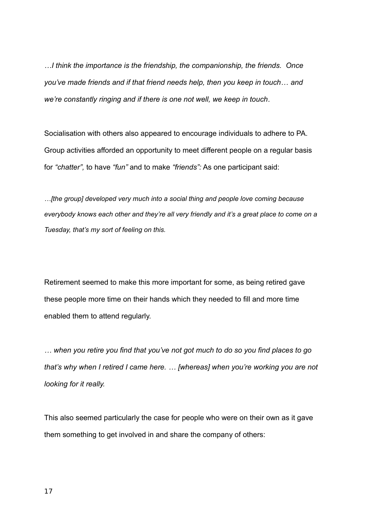*…I think the importance is the friendship, the companionship, the friends. Once you've made friends and if that friend needs help, then you keep in touch… and we're constantly ringing and if there is one not well, we keep in touch.*

Socialisation with others also appeared to encourage individuals to adhere to PA. Group activities afforded an opportunity to meet different people on a regular basis for *"chatter",* to have *"fun"* and to make *"friends":* As one participant said:

*…[the group] developed very much into a social thing and people love coming because everybody knows each other and they're all very friendly and it's a great place to come on a Tuesday, that's my sort of feeling on this.*

Retirement seemed to make this more important for some, as being retired gave these people more time on their hands which they needed to fill and more time enabled them to attend regularly.

*… when you retire you find that you've not got much to do so you find places to go that's why when I retired I came here. … [whereas] when you're working you are not looking for it really.*

This also seemed particularly the case for people who were on their own as it gave them something to get involved in and share the company of others: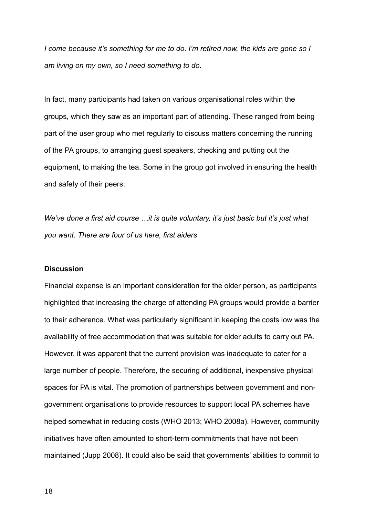*I come because it's something for me to do. I'm retired now, the kids are gone so I am living on my own, so I need something to do.*

In fact, many participants had taken on various organisational roles within the groups, which they saw as an important part of attending. These ranged from being part of the user group who met regularly to discuss matters concerning the running of the PA groups, to arranging guest speakers, checking and putting out the equipment, to making the tea. Some in the group got involved in ensuring the health and safety of their peers:

*We've done a first aid course …it is quite voluntary, it's just basic but it's just what you want. There are four of us here, first aiders*

### **Discussion**

Financial expense is an important consideration for the older person, as participants highlighted that increasing the charge of attending PA groups would provide a barrier to their adherence. What was particularly significant in keeping the costs low was the availability of free accommodation that was suitable for older adults to carry out PA. However, it was apparent that the current provision was inadequate to cater for a large number of people. Therefore, the securing of additional, inexpensive physical spaces for PA is vital. The promotion of partnerships between government and nongovernment organisations to provide resources to support local PA schemes have helped somewhat in reducing costs (WHO 2013; WHO 2008a). However, community initiatives have often amounted to short-term commitments that have not been maintained (Jupp 2008). It could also be said that governments' abilities to commit to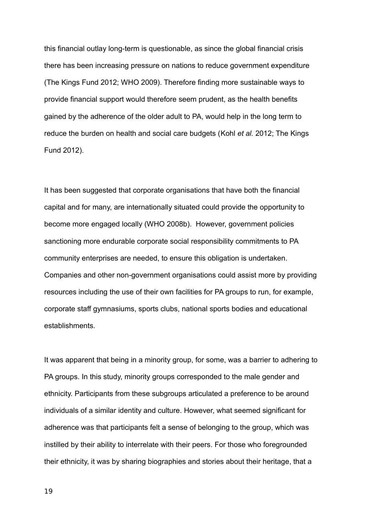this financial outlay long-term is questionable, as since the global financial crisis there has been increasing pressure on nations to reduce government expenditure (The Kings Fund 2012; WHO 2009). Therefore finding more sustainable ways to provide financial support would therefore seem prudent, as the health benefits gained by the adherence of the older adult to PA, would help in the long term to reduce the burden on health and social care budgets (Kohl *et al.* 2012; The Kings Fund 2012).

It has been suggested that corporate organisations that have both the financial capital and for many, are internationally situated could provide the opportunity to become more engaged locally (WHO 2008b). However, government policies sanctioning more endurable corporate social responsibility commitments to PA community enterprises are needed, to ensure this obligation is undertaken. Companies and other non-government organisations could assist more by providing resources including the use of their own facilities for PA groups to run, for example, corporate staff gymnasiums, sports clubs, national sports bodies and educational establishments.

It was apparent that being in a minority group, for some, was a barrier to adhering to PA groups. In this study, minority groups corresponded to the male gender and ethnicity. Participants from these subgroups articulated a preference to be around individuals of a similar identity and culture. However, what seemed significant for adherence was that participants felt a sense of belonging to the group, which was instilled by their ability to interrelate with their peers. For those who foregrounded their ethnicity, it was by sharing biographies and stories about their heritage, that a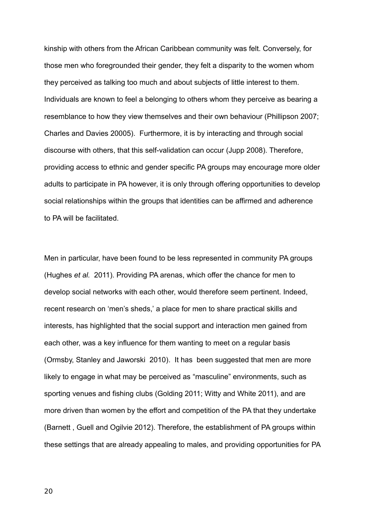kinship with others from the African Caribbean community was felt. Conversely, for those men who foregrounded their gender, they felt a disparity to the women whom they perceived as talking too much and about subjects of little interest to them. Individuals are known to feel a belonging to others whom they perceive as bearing a resemblance to how they view themselves and their own behaviour (Phillipson 2007; Charles and Davies 20005). Furthermore, it is by interacting and through social discourse with others, that this self-validation can occur (Jupp 2008). Therefore, providing access to ethnic and gender specific PA groups may encourage more older adults to participate in PA however, it is only through offering opportunities to develop social relationships within the groups that identities can be affirmed and adherence to PA will be facilitated.

Men in particular, have been found to be less represented in community PA groups (Hughes *et al.* 2011). Providing PA arenas, which offer the chance for men to develop social networks with each other, would therefore seem pertinent. Indeed, recent research on 'men's sheds,' a place for men to share practical skills and interests, has highlighted that the social support and interaction men gained from each other, was a key influence for them wanting to meet on a regular basis (Ormsby, Stanley and Jaworski 2010). It has been suggested that men are more likely to engage in what may be perceived as "masculine" environments, such as sporting venues and fishing clubs (Golding 2011; Witty and White 2011), and are more driven than women by the effort and competition of the PA that they undertake (Barnett , Guell and Ogilvie 2012). Therefore, the establishment of PA groups within these settings that are already appealing to males, and providing opportunities for PA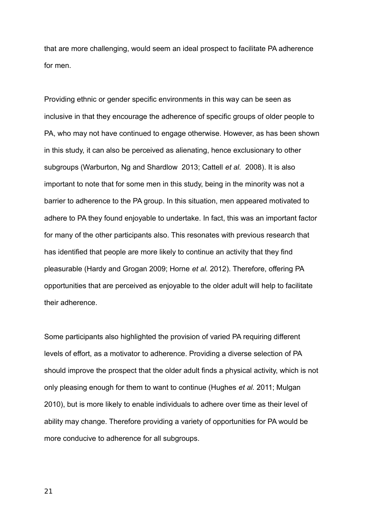that are more challenging, would seem an ideal prospect to facilitate PA adherence for men.

Providing ethnic or gender specific environments in this way can be seen as inclusive in that they encourage the adherence of specific groups of older people to PA, who may not have continued to engage otherwise. However, as has been shown in this study, it can also be perceived as alienating, hence exclusionary to other subgroups (Warburton, Ng and Shardlow 2013; Cattell *et al.* 2008). It is also important to note that for some men in this study, being in the minority was not a barrier to adherence to the PA group. In this situation, men appeared motivated to adhere to PA they found enjoyable to undertake. In fact, this was an important factor for many of the other participants also. This resonates with previous research that has identified that people are more likely to continue an activity that they find pleasurable (Hardy and Grogan 2009; Horne *et al.* 2012). Therefore, offering PA opportunities that are perceived as enjoyable to the older adult will help to facilitate their adherence.

Some participants also highlighted the provision of varied PA requiring different levels of effort, as a motivator to adherence. Providing a diverse selection of PA should improve the prospect that the older adult finds a physical activity, which is not only pleasing enough for them to want to continue (Hughes *et al.* 2011; Mulgan 2010), but is more likely to enable individuals to adhere over time as their level of ability may change. Therefore providing a variety of opportunities for PA would be more conducive to adherence for all subgroups.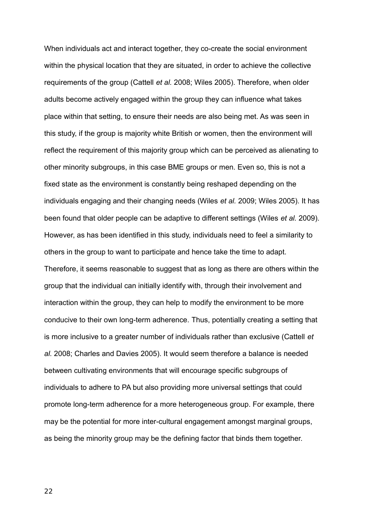When individuals act and interact together, they co-create the social environment within the physical location that they are situated, in order to achieve the collective requirements of the group (Cattell *et al.* 2008; Wiles 2005). Therefore, when older adults become actively engaged within the group they can influence what takes place within that setting, to ensure their needs are also being met. As was seen in this study, if the group is majority white British or women, then the environment will reflect the requirement of this majority group which can be perceived as alienating to other minority subgroups, in this case BME groups or men. Even so, this is not a fixed state as the environment is constantly being reshaped depending on the individuals engaging and their changing needs (Wiles *et al.* 2009; Wiles 2005). It has been found that older people can be adaptive to different settings (Wiles *et al.* 2009). However, as has been identified in this study, individuals need to feel a similarity to others in the group to want to participate and hence take the time to adapt. Therefore, it seems reasonable to suggest that as long as there are others within the group that the individual can initially identify with, through their involvement and interaction within the group, they can help to modify the environment to be more conducive to their own long-term adherence. Thus, potentially creating a setting that is more inclusive to a greater number of individuals rather than exclusive (Cattell *et al.* 2008; Charles and Davies 2005). It would seem therefore a balance is needed between cultivating environments that will encourage specific subgroups of individuals to adhere to PA but also providing more universal settings that could promote long-term adherence for a more heterogeneous group. For example, there may be the potential for more inter-cultural engagement amongst marginal groups, as being the minority group may be the defining factor that binds them together.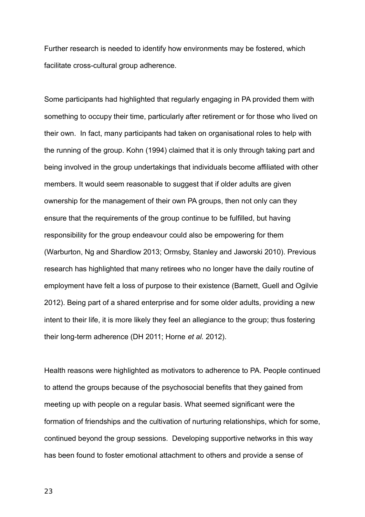Further research is needed to identify how environments may be fostered, which facilitate cross-cultural group adherence.

Some participants had highlighted that regularly engaging in PA provided them with something to occupy their time, particularly after retirement or for those who lived on their own. In fact, many participants had taken on organisational roles to help with the running of the group. Kohn (1994) claimed that it is only through taking part and being involved in the group undertakings that individuals become affiliated with other members. It would seem reasonable to suggest that if older adults are given ownership for the management of their own PA groups, then not only can they ensure that the requirements of the group continue to be fulfilled, but having responsibility for the group endeavour could also be empowering for them (Warburton, Ng and Shardlow 2013; Ormsby, Stanley and Jaworski 2010). Previous research has highlighted that many retirees who no longer have the daily routine of employment have felt a loss of purpose to their existence (Barnett, Guell and Ogilvie 2012). Being part of a shared enterprise and for some older adults, providing a new intent to their life, it is more likely they feel an allegiance to the group; thus fostering their long-term adherence (DH 2011; Horne *et al.* 2012).

Health reasons were highlighted as motivators to adherence to PA. People continued to attend the groups because of the psychosocial benefits that they gained from meeting up with people on a regular basis. What seemed significant were the formation of friendships and the cultivation of nurturing relationships, which for some, continued beyond the group sessions. Developing supportive networks in this way has been found to foster emotional attachment to others and provide a sense of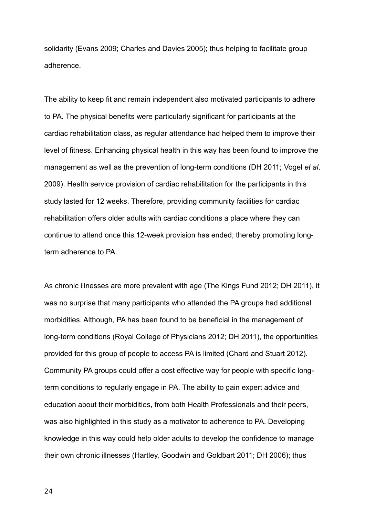solidarity (Evans 2009; Charles and Davies 2005); thus helping to facilitate group adherence.

The ability to keep fit and remain independent also motivated participants to adhere to PA. The physical benefits were particularly significant for participants at the cardiac rehabilitation class, as regular attendance had helped them to improve their level of fitness. Enhancing physical health in this way has been found to improve the management as well as the prevention of long-term conditions (DH 2011; Vogel *et al*. 2009). Health service provision of cardiac rehabilitation for the participants in this study lasted for 12 weeks. Therefore, providing community facilities for cardiac rehabilitation offers older adults with cardiac conditions a place where they can continue to attend once this 12-week provision has ended, thereby promoting longterm adherence to PA.

As chronic illnesses are more prevalent with age (The Kings Fund 2012; DH 2011), it was no surprise that many participants who attended the PA groups had additional morbidities. Although, PA has been found to be beneficial in the management of long-term conditions (Royal College of Physicians 2012; DH 2011), the opportunities provided for this group of people to access PA is limited (Chard and Stuart 2012). Community PA groups could offer a cost effective way for people with specific longterm conditions to regularly engage in PA. The ability to gain expert advice and education about their morbidities, from both Health Professionals and their peers, was also highlighted in this study as a motivator to adherence to PA. Developing knowledge in this way could help older adults to develop the confidence to manage their own chronic illnesses (Hartley, Goodwin and Goldbart 2011; DH 2006); thus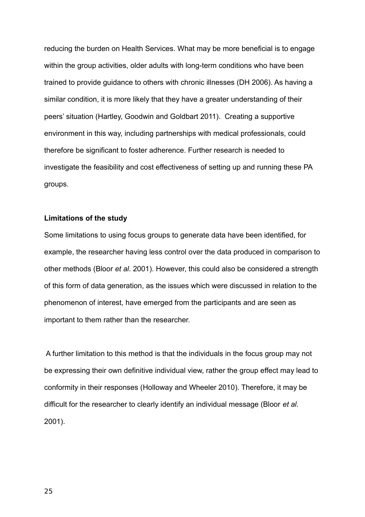reducing the burden on Health Services. What may be more beneficial is to engage within the group activities, older adults with long-term conditions who have been trained to provide guidance to others with chronic illnesses (DH 2006). As having a similar condition, it is more likely that they have a greater understanding of their peers' situation (Hartley, Goodwin and Goldbart 2011). Creating a supportive environment in this way, including partnerships with medical professionals, could therefore be significant to foster adherence. Further research is needed to investigate the feasibility and cost effectiveness of setting up and running these PA groups.

# **Limitations of the study**

Some limitations to using focus groups to generate data have been identified, for example, the researcher having less control over the data produced in comparison to other methods (Bloor *et al*. 2001). However, this could also be considered a strength of this form of data generation, as the issues which were discussed in relation to the phenomenon of interest, have emerged from the participants and are seen as important to them rather than the researcher.

 A further limitation to this method is that the individuals in the focus group may not be expressing their own definitive individual view, rather the group effect may lead to conformity in their responses (Holloway and Wheeler 2010). Therefore, it may be difficult for the researcher to clearly identify an individual message (Bloor *et al.* 2001).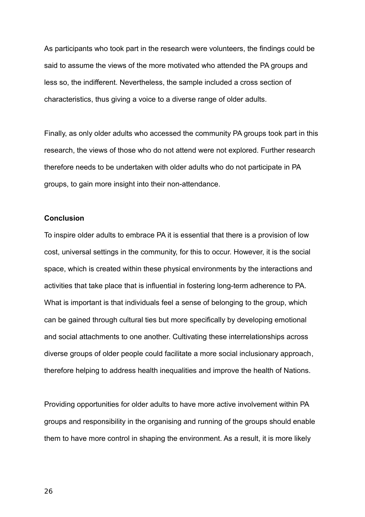As participants who took part in the research were volunteers, the findings could be said to assume the views of the more motivated who attended the PA groups and less so, the indifferent. Nevertheless, the sample included a cross section of characteristics, thus giving a voice to a diverse range of older adults.

Finally, as only older adults who accessed the community PA groups took part in this research, the views of those who do not attend were not explored. Further research therefore needs to be undertaken with older adults who do not participate in PA groups, to gain more insight into their non-attendance.

# **Conclusion**

To inspire older adults to embrace PA it is essential that there is a provision of low cost, universal settings in the community, for this to occur. However, it is the social space, which is created within these physical environments by the interactions and activities that take place that is influential in fostering long-term adherence to PA. What is important is that individuals feel a sense of belonging to the group, which can be gained through cultural ties but more specifically by developing emotional and social attachments to one another. Cultivating these interrelationships across diverse groups of older people could facilitate a more social inclusionary approach, therefore helping to address health inequalities and improve the health of Nations.

Providing opportunities for older adults to have more active involvement within PA groups and responsibility in the organising and running of the groups should enable them to have more control in shaping the environment. As a result, it is more likely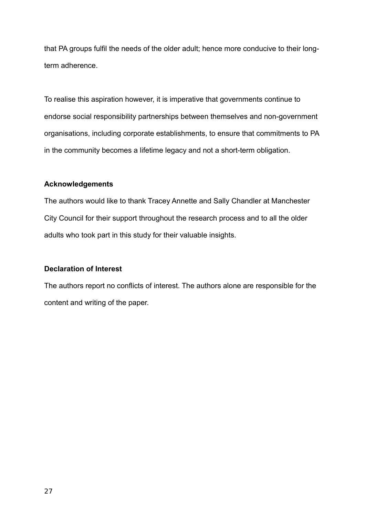that PA groups fulfil the needs of the older adult; hence more conducive to their longterm adherence.

To realise this aspiration however, it is imperative that governments continue to endorse social responsibility partnerships between themselves and non-government organisations, including corporate establishments, to ensure that commitments to PA in the community becomes a lifetime legacy and not a short-term obligation.

# **Acknowledgements**

The authors would like to thank Tracey Annette and Sally Chandler at Manchester City Council for their support throughout the research process and to all the older adults who took part in this study for their valuable insights.

# **Declaration of Interest**

The authors report no conflicts of interest. The authors alone are responsible for the content and writing of the paper.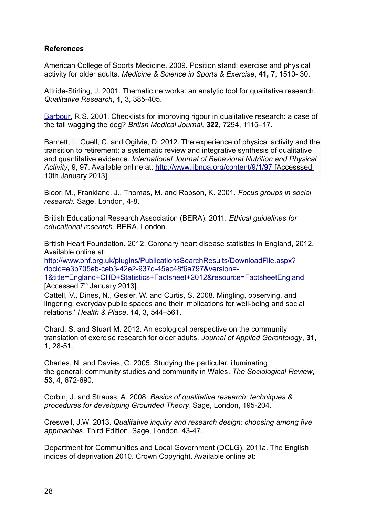# **References**

American College of Sports Medicine. 2009. Position stand: exercise and physical activity for older adults. *Medicine & Science in Sports & Exercise*, **41,** 7, 1510- 30.

Attride-Stirling, J. 2001. Thematic networks: an analytic tool for qualitative research. *Qualitative Research*, **1,** 3, 385-405.

[Barbour,](http://www.ncbi.nlm.nih.gov/pubmed/?term=Barbour%20RS%5Bauth%5D) R.S. 2001. Checklists for improving rigour in qualitative research: a case of the tail wagging the dog? *British Medical Journal,* **322,** 7294, 1115–17.

Barnett, I., Guell, C. and Ogilvie, D. 2012. The experience of physical activity and the transition to retirement: a systematic review and integrative synthesis of qualitative and quantitative evidence. *International Journal of Behavioral Nutrition and Physical Activity*, 9, 97. Available online at:<http://www.ijbnpa.org/content/9/1/97>[Accesssed 10th January 2013].

Bloor, M., Frankland, J., Thomas, M. and Robson, K. 2001. *Focus groups in social research.* Sage, London, 4-8.

British Educational Research Association (BERA). 2011. *Ethical guidelines for educational research*. BERA, London.

British Heart Foundation. 2012. Coronary heart disease statistics in England, 2012. Available online at:

[http://www.bhf.org.uk/plugins/PublicationsSearchResults/DownloadFile.aspx?](http://www.bhf.org.uk/plugins/PublicationsSearchResults/DownloadFile.aspx?docid=e3b705eb-ceb3-42e2-937d-45ec48f6a797&version=-1&title=England+CHD+Statistics+Factsheet+2012&resource=FactsheetEngland) [docid=e3b705eb-ceb3-42e2-937d-45ec48f6a797&version=-](http://www.bhf.org.uk/plugins/PublicationsSearchResults/DownloadFile.aspx?docid=e3b705eb-ceb3-42e2-937d-45ec48f6a797&version=-1&title=England+CHD+Statistics+Factsheet+2012&resource=FactsheetEngland)

[1&title=England+CHD+Statistics+Factsheet+2012&resource=FactsheetEngland](http://www.bhf.org.uk/plugins/PublicationsSearchResults/DownloadFile.aspx?docid=e3b705eb-ceb3-42e2-937d-45ec48f6a797&version=-1&title=England+CHD+Statistics+Factsheet+2012&resource=FactsheetEngland) [Accessed  $7<sup>th</sup>$  January 2013].

Cattell, V., Dines, N., Gesler, W. and Curtis, S. 2008. Mingling, observing, and lingering: everyday public spaces and their implications for well-being and social relations.' *Health & Place*, **14**, 3, 544–561.

Chard, S. and Stuart M. 2012. An ecological perspective on the community translation of exercise research for older adults. *Journal of Applied Gerontology*, **31**, 1, 28-51.

Charles, N. and Davies, C. 2005. Studying the particular, illuminating the general: community studies and community in Wales. *The Sociological Review*, **53**, 4, 672-690.

Corbin, J. and Strauss, A. 2008. *Basics of qualitative research: techniques & procedures for developing Grounded Theory.* Sage, London, 195-204.

Creswell, J.W. 2013. *Qualitative inquiry and research design: choosing among five approaches.* Third Edition. Sage, London, 43-47.

Department for Communities and Local Government (DCLG). 2011a. The English indices of deprivation 2010. Crown Copyright. Available online at: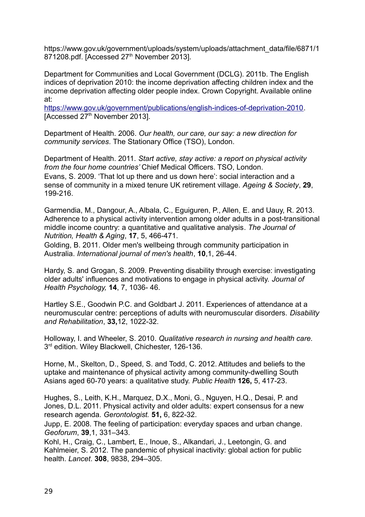https://www.gov.uk/government/uploads/system/uploads/attachment\_data/file/6871/1 871208.pdf. [Accessed 27<sup>th</sup> November 2013].

Department for Communities and Local Government (DCLG). 2011b. The English indices of deprivation 2010: the income deprivation affecting children index and the income deprivation affecting older people index. Crown Copyright. Available online at:

[https://www.gov.uk/government/publications/english-indices-of-deprivation-2010.](https://www.gov.uk/government/publications/english-indices-of-deprivation-2010) [Accessed 27<sup>th</sup> November 2013].

Department of Health. 2006. *Our health, our care, our say: a new direction for community services*. The Stationary Office (TSO), London.

Department of Health. 2011. *Start active, stay active: a report on physical activity from the four home countries'* Chief Medical Officers. TSO, London. Evans, S. 2009. 'That lot up there and us down here': social interaction and a sense of community in a mixed tenure UK retirement village. *Ageing & Society*, **29**, 199-216.

Garmendia, M., Dangour, A., Albala, C., Eguiguren, P., Allen, E. and Uauy, R. 2013. Adherence to a physical activity intervention among older adults in a post-transitional middle income country: a quantitative and qualitative analysis. *The Journal of Nutrition, Health & Aging*, **17**, 5, 466-471.

Golding, B. 2011. Older men's wellbeing through community participation in Australia. *International journal of men's health*, **10**,1, 26-44.

Hardy, S. and Grogan, S. 2009. Preventing disability through exercise: investigating older adults' influences and motivations to engage in physical activity. *Journal of Health Psychology,* **14**, 7, 1036- 46.

Hartley S.E., Goodwin P.C. and Goldbart J. 2011. Experiences of attendance at a neuromuscular centre: perceptions of adults with neuromuscular disorders. *Disability and Rehabilitation*, **33,**12, 1022-32.

Holloway, I. and Wheeler, S. 2010. *Qualitative research in nursing and health care.* 3<sup>rd</sup> edition. Wiley Blackwell, Chichester, 126-136.

Horne, M., Skelton, D., Speed, S. and Todd, C. 2012. Attitudes and beliefs to the uptake and maintenance of physical activity among community-dwelling South Asians aged 60-70 years: a qualitative study. *Public Health* **126,** 5, 417-23.

Hughes, S., Leith, K.H., Marquez, D.X., Moni, G., Nguyen, H.Q., Desai, P. and Jones, D.L. 2011. Physical activity and older adults: expert consensus for a new research agenda. *Gerontologist.* **51,** 6, 822-32.

Jupp, E. 2008. The feeling of participation: everyday spaces and urban change. *Geoforum*, **39**,1, 331–343.

Kohl, H., Craig, C., Lambert, E., Inoue, S., Alkandari, J., Leetongin, G. and Kahlmeier, S. 2012. The pandemic of physical inactivity: global action for public health. *Lancet*. **308**, 9838, 294–305.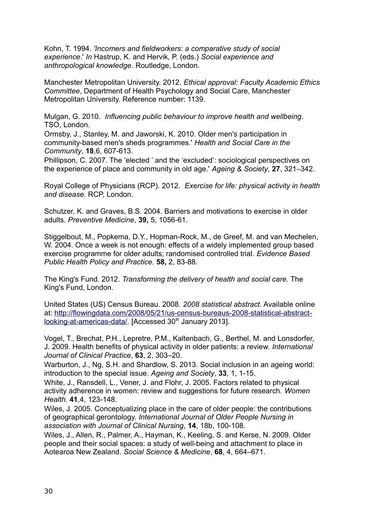Kohn, T. 1994. *'Incomers and fieldworkers: a comparative study of social experience*.' *In* Hastrup, K. and Hervik, P. (eds.) *Social experience and anthropological knowledge*. Routledge, London.

Manchester Metropolitan University. 2012. *Ethical approval: Faculty Academic Ethics Committee*, Department of Health Psychology and Social Care, Manchester Metropolitan University. Reference number: 1139.

Mulgan, G. 2010. *Influencing public behaviour to improve health and wellbeing*. TSO, London.

Ormsby, J., Stanley, M. and Jaworski, K. 2010. Older men's participation in community-based men's sheds programmes.' *Health and Social Care in the Community*, **18**,6, 607-613.

Phillipson, C. 2007. The 'elected ' and the 'excluded': sociological perspectives on the experience of place and community in old age.' *Ageing & Society*, **27**, 321–342.

Royal College of Physicians (RCP). 2012. *Exercise for life: physical activity in health and disease*. RCP, London.

Schutzer, K. and Graves, B.S. 2004. Barriers and motivations to exercise in older adults. *Preventive Medicine*, **39,** 5, 1056-61.

Stiggelbout, M., Popkema, D.Y., Hopman-Rock, M., de Greef, M. and van Mechelen, W. 2004. Once a week is not enough: effects of a widely implemented group based exercise programme for older adults; randomised controlled trial. *Evidence Based Public Health Policy and Practice.* **58,** 2, 83-88.

The King's Fund. 2012. *Transforming the delivery of health and social care.* The King's Fund, London.

United States (US) Census Bureau. 2008. *2008 statistical abstract.* Available online at: [http://flowingdata.com/2008/05/21/us-census-bureaus-2008-statistical-abstract](http://flowingdata.com/2008/05/21/us-census-bureaus-2008-statistical-abstract-looking-at-americas-data/)[looking-at-americas-data/.](http://flowingdata.com/2008/05/21/us-census-bureaus-2008-statistical-abstract-looking-at-americas-data/) [Accessed 30<sup>th</sup> January 2013].

Vogel, T., Brechat, P.H., Lepretre, P.M., Kaltenbach, G., Berthel, M. and Lonsdorfer, J. 2009. Health benefits of physical activity in older patients: a review. *International Journal of Clinical Practice*, **63**, 2, 303–20.

Warburton, J., Ng, S.H. and Shardlow, S. 2013. Social inclusion in an ageing world: introduction to the special issue. *Ageing and Society*, **33**, 1, 1-15.

White, J., Ransdell, L., Vener, J. and Flohr, J. 2005. Factors related to physical activity adherence in women: review and suggestions for future research. *Women Health*. **41**,4, 123-148.

Wiles, J. 2005. Conceptualizing place in the care of older people: the contributions of geographical gerontology. *International Journal of Older People Nursing in association with Journal of Clinical Nursing*, **14**, 18b, 100-108.

Wiles, J., Allen, R., Palmer, A., Hayman, K., Keeling, S. and Kerse, N. 2009. Older people and their social spaces: a study of well-being and attachment to place in Aotearoa New Zealand. *Social Science & Medicine*, **68**, 4, 664–671.